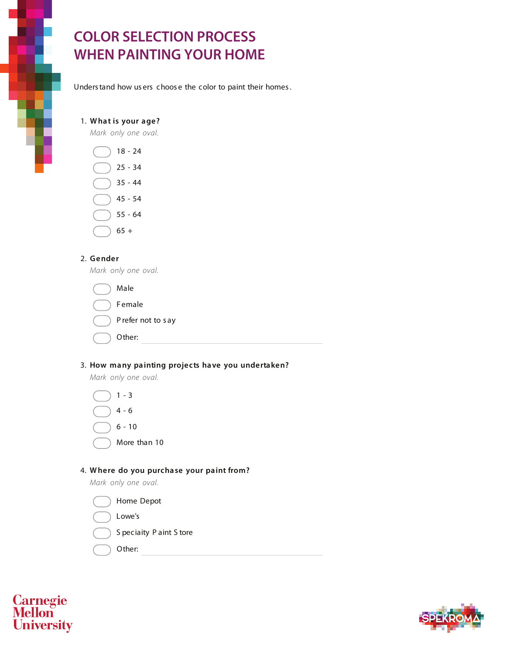# **COLOR SELECTION PROCESS WHEN PAINTING YOUR HOME**

Understand how us ers choos e the color to paint their homes.

#### 1. **What is your age?**

*Mark only one oval.*



### 2. **Gender**

*Mark only one oval.*

| Male              |
|-------------------|
| <b>Female</b>     |
| Prefer not to say |
| Other:            |

### 3. **How many painting projects have you undertaken?**

*Mark only one oval.*



## 4. **Where do you purchase your paint from?**

*Mark only one oval.*





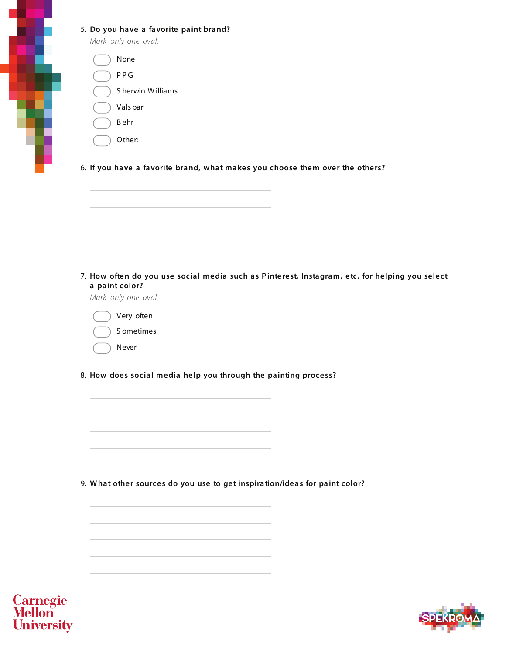#### 5. **Do you have a favorite paint brand?**

*Mark only one oval.*

ŧ

6. **If you have a favorite brand, what makes you choose them over the others?**



7. **How often do you use social media such as Pinterest, Instagram, etc. for helping you select a paint color?**

*Mark only one oval.*

Very often S ometimes Never

8. **How does social media help you through the painting process?**

9. **What other sources do you use to get inspiration/ideas for paint color?**



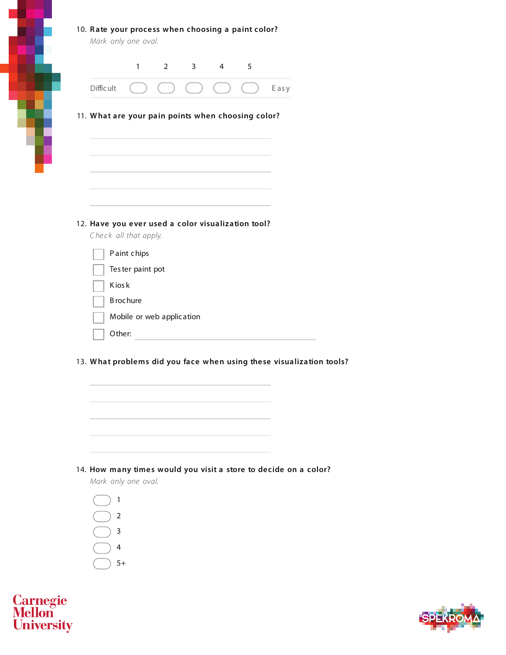|  |  |  |  |  |  |  |  | 10. Rate your process when choosing a paint color? |
|--|--|--|--|--|--|--|--|----------------------------------------------------|
|--|--|--|--|--|--|--|--|----------------------------------------------------|

|                  | $\mathbf{1}$                                                                | $2 \left( \frac{1}{2} \right)$ | $3^{\circ}$ | $\overline{4}$ | 5 |      |
|------------------|-----------------------------------------------------------------------------|--------------------------------|-------------|----------------|---|------|
| <b>Difficult</b> |                                                                             |                                |             |                |   | Easy |
|                  | 11. What are your pain points when choosing color?                          |                                |             |                |   |      |
|                  |                                                                             |                                |             |                |   |      |
|                  |                                                                             |                                |             |                |   |      |
|                  |                                                                             |                                |             |                |   |      |
|                  |                                                                             |                                |             |                |   |      |
|                  | 12. Have you ever used a color visualization tool?<br>Check all that apply. |                                |             |                |   |      |
|                  | Paint chips                                                                 |                                |             |                |   |      |
|                  | Tester paint pot                                                            |                                |             |                |   |      |
|                  | <b>Kiosk</b>                                                                |                                |             |                |   |      |
|                  | <b>B</b> rochure                                                            |                                |             |                |   |      |
|                  | Mobile or web application                                                   |                                |             |                |   |      |

13. **What problems did you face when using these visualization tools?**



#### 14. **How many times would you visit a store to decide on a color?**

*Mark only one oval.*

| 1    |
|------|
| 2    |
| 3    |
| 4    |
| $5+$ |
|      |